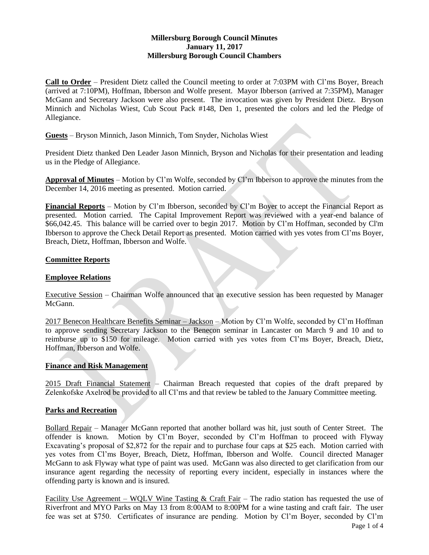# **Millersburg Borough Council Minutes January 11, 2017 Millersburg Borough Council Chambers**

**Call to Order** – President Dietz called the Council meeting to order at 7:03PM with Cl'ms Boyer, Breach (arrived at 7:10PM), Hoffman, Ibberson and Wolfe present. Mayor Ibberson (arrived at 7:35PM), Manager McGann and Secretary Jackson were also present. The invocation was given by President Dietz. Bryson Minnich and Nicholas Wiest, Cub Scout Pack #148, Den 1, presented the colors and led the Pledge of Allegiance.

## **Guests** – Bryson Minnich, Jason Minnich, Tom Snyder, Nicholas Wiest

President Dietz thanked Den Leader Jason Minnich, Bryson and Nicholas for their presentation and leading us in the Pledge of Allegiance.

**Approval of Minutes** – Motion by Cl'm Wolfe, seconded by Cl'm Ibberson to approve the minutes from the December 14, 2016 meeting as presented. Motion carried.

**Financial Reports** – Motion by Cl'm Ibberson, seconded by Cl'm Boyer to accept the Financial Report as presented. Motion carried. The Capital Improvement Report was reviewed with a year-end balance of \$66,042.45. This balance will be carried over to begin 2017. Motion by Cl'm Hoffman, seconded by Cl'm Ibberson to approve the Check Detail Report as presented. Motion carried with yes votes from Cl'ms Boyer, Breach, Dietz, Hoffman, Ibberson and Wolfe.

## **Committee Reports**

### **Employee Relations**

Executive Session – Chairman Wolfe announced that an executive session has been requested by Manager McGann.

2017 Benecon Healthcare Benefits Seminar - Jackson - Motion by Cl'm Wolfe, seconded by Cl'm Hoffman to approve sending Secretary Jackson to the Benecon seminar in Lancaster on March 9 and 10 and to reimburse up to \$150 for mileage. Motion carried with yes votes from Cl'ms Boyer, Breach, Dietz, Hoffman, Ibberson and Wolfe.

#### **Finance and Risk Management**

2015 Draft Financial Statement – Chairman Breach requested that copies of the draft prepared by Zelenkofske Axelrod be provided to all Cl'ms and that review be tabled to the January Committee meeting.

#### **Parks and Recreation**

Bollard Repair – Manager McGann reported that another bollard was hit, just south of Center Street. The offender is known. Motion by Cl'm Boyer, seconded by Cl'm Hoffman to proceed with Flyway Excavating's proposal of \$2,872 for the repair and to purchase four caps at \$25 each. Motion carried with yes votes from Cl'ms Boyer, Breach, Dietz, Hoffman, Ibberson and Wolfe. Council directed Manager McGann to ask Flyway what type of paint was used. McGann was also directed to get clarification from our insurance agent regarding the necessity of reporting every incident, especially in instances where the offending party is known and is insured.

Facility Use Agreement – WQLV Wine Tasting & Craft Fair – The radio station has requested the use of Riverfront and MYO Parks on May 13 from 8:00AM to 8:00PM for a wine tasting and craft fair. The user fee was set at \$750. Certificates of insurance are pending. Motion by Cl'm Boyer, seconded by Cl'm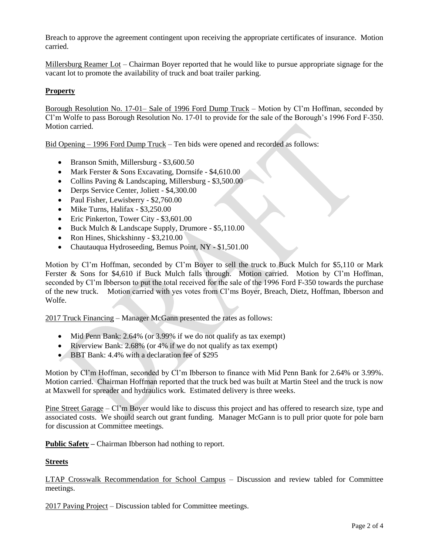Breach to approve the agreement contingent upon receiving the appropriate certificates of insurance. Motion carried.

Millersburg Reamer Lot – Chairman Boyer reported that he would like to pursue appropriate signage for the vacant lot to promote the availability of truck and boat trailer parking.

# **Property**

Borough Resolution No. 17-01– Sale of 1996 Ford Dump Truck – Motion by Cl'm Hoffman, seconded by Cl'm Wolfe to pass Borough Resolution No. 17-01 to provide for the sale of the Borough's 1996 Ford F-350. Motion carried.

Bid Opening – 1996 Ford Dump Truck – Ten bids were opened and recorded as follows:

- Branson Smith, Millersburg \$3,600.50
- Mark Ferster & Sons Excavating, Dornsife \$4,610.00
- Collins Paving & Landscaping, Millersburg \$3,500.00
- Derps Service Center, Joliett \$4,300.00
- Paul Fisher, Lewisberry \$2,760.00
- Mike Turns, Halifax \$3,250.00
- Eric Pinkerton, Tower City \$3,601.00
- Buck Mulch & Landscape Supply, Drumore \$5,110.00
- Ron Hines, Shickshinny \$3,210.00
- Chautauqua Hydroseeding, Bemus Point, NY \$1,501.00

Motion by Cl'm Hoffman, seconded by Cl'm Boyer to sell the truck to Buck Mulch for \$5,110 or Mark Ferster & Sons for \$4,610 if Buck Mulch falls through. Motion carried. Motion by Cl'm Hoffman, seconded by Cl'm Ibberson to put the total received for the sale of the 1996 Ford F-350 towards the purchase of the new truck. Motion carried with yes votes from Cl'ms Boyer, Breach, Dietz, Hoffman, Ibberson and Wolfe.

2017 Truck Financing – Manager McGann presented the rates as follows:

- Mid Penn Bank: 2.64% (or 3.99% if we do not qualify as tax exempt)
- Riverview Bank: 2.68% (or 4% if we do not qualify as tax exempt)
- BBT Bank: 4.4% with a declaration fee of \$295

Motion by Cl'm Hoffman, seconded by Cl'm Ibberson to finance with Mid Penn Bank for 2.64% or 3.99%. Motion carried. Chairman Hoffman reported that the truck bed was built at Martin Steel and the truck is now at Maxwell for spreader and hydraulics work. Estimated delivery is three weeks.

Pine Street Garage – Cl'm Boyer would like to discuss this project and has offered to research size, type and associated costs. We should search out grant funding. Manager McGann is to pull prior quote for pole barn for discussion at Committee meetings.

**Public Safety –** Chairman Ibberson had nothing to report.

## **Streets**

LTAP Crosswalk Recommendation for School Campus – Discussion and review tabled for Committee meetings.

2017 Paving Project – Discussion tabled for Committee meetings.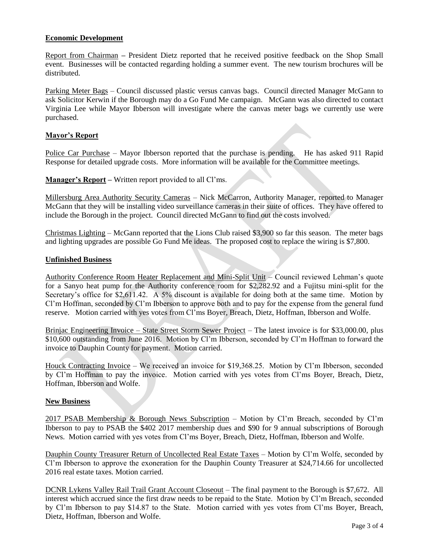## **Economic Development**

Report from Chairman **–** President Dietz reported that he received positive feedback on the Shop Small event. Businesses will be contacted regarding holding a summer event. The new tourism brochures will be distributed.

Parking Meter Bags – Council discussed plastic versus canvas bags. Council directed Manager McGann to ask Solicitor Kerwin if the Borough may do a Go Fund Me campaign. McGann was also directed to contact Virginia Lee while Mayor Ibberson will investigate where the canvas meter bags we currently use were purchased.

## **Mayor's Report**

Police Car Purchase – Mayor Ibberson reported that the purchase is pending. He has asked 911 Rapid Response for detailed upgrade costs. More information will be available for the Committee meetings.

**Manager's Report –** Written report provided to all Cl'ms.

Millersburg Area Authority Security Cameras – Nick McCarron, Authority Manager, reported to Manager McGann that they will be installing video surveillance cameras in their suite of offices. They have offered to include the Borough in the project. Council directed McGann to find out the costs involved.

Christmas Lighting – McGann reported that the Lions Club raised \$3,900 so far this season. The meter bags and lighting upgrades are possible Go Fund Me ideas. The proposed cost to replace the wiring is \$7,800.

## **Unfinished Business**

Authority Conference Room Heater Replacement and Mini-Split Unit – Council reviewed Lehman's quote for a Sanyo heat pump for the Authority conference room for \$2,282.92 and a Fujitsu mini-split for the Secretary's office for \$2,611.42. A 5% discount is available for doing both at the same time. Motion by Cl'm Hoffman, seconded by Cl'm Ibberson to approve both and to pay for the expense from the general fund reserve. Motion carried with yes votes from Cl'ms Boyer, Breach, Dietz, Hoffman, Ibberson and Wolfe.

Brinjac Engineering Invoice – State Street Storm Sewer Project – The latest invoice is for \$33,000.00, plus \$10,600 outstanding from June 2016. Motion by Cl'm Ibberson, seconded by Cl'm Hoffman to forward the invoice to Dauphin County for payment. Motion carried.

Houck Contracting Invoice – We received an invoice for \$19,368.25. Motion by Cl'm Ibberson, seconded by Cl'm Hoffman to pay the invoice. Motion carried with yes votes from Cl'ms Boyer, Breach, Dietz, Hoffman, Ibberson and Wolfe.

#### **New Business**

2017 PSAB Membership & Borough News Subscription – Motion by Cl'm Breach, seconded by Cl'm Ibberson to pay to PSAB the \$402 2017 membership dues and \$90 for 9 annual subscriptions of Borough News. Motion carried with yes votes from Cl'ms Boyer, Breach, Dietz, Hoffman, Ibberson and Wolfe.

Dauphin County Treasurer Return of Uncollected Real Estate Taxes – Motion by Cl'm Wolfe, seconded by Cl'm Ibberson to approve the exoneration for the Dauphin County Treasurer at \$24,714.66 for uncollected 2016 real estate taxes. Motion carried.

DCNR Lykens Valley Rail Trail Grant Account Closeout – The final payment to the Borough is \$7,672. All interest which accrued since the first draw needs to be repaid to the State. Motion by Cl'm Breach, seconded by Cl'm Ibberson to pay \$14.87 to the State. Motion carried with yes votes from Cl'ms Boyer, Breach, Dietz, Hoffman, Ibberson and Wolfe.